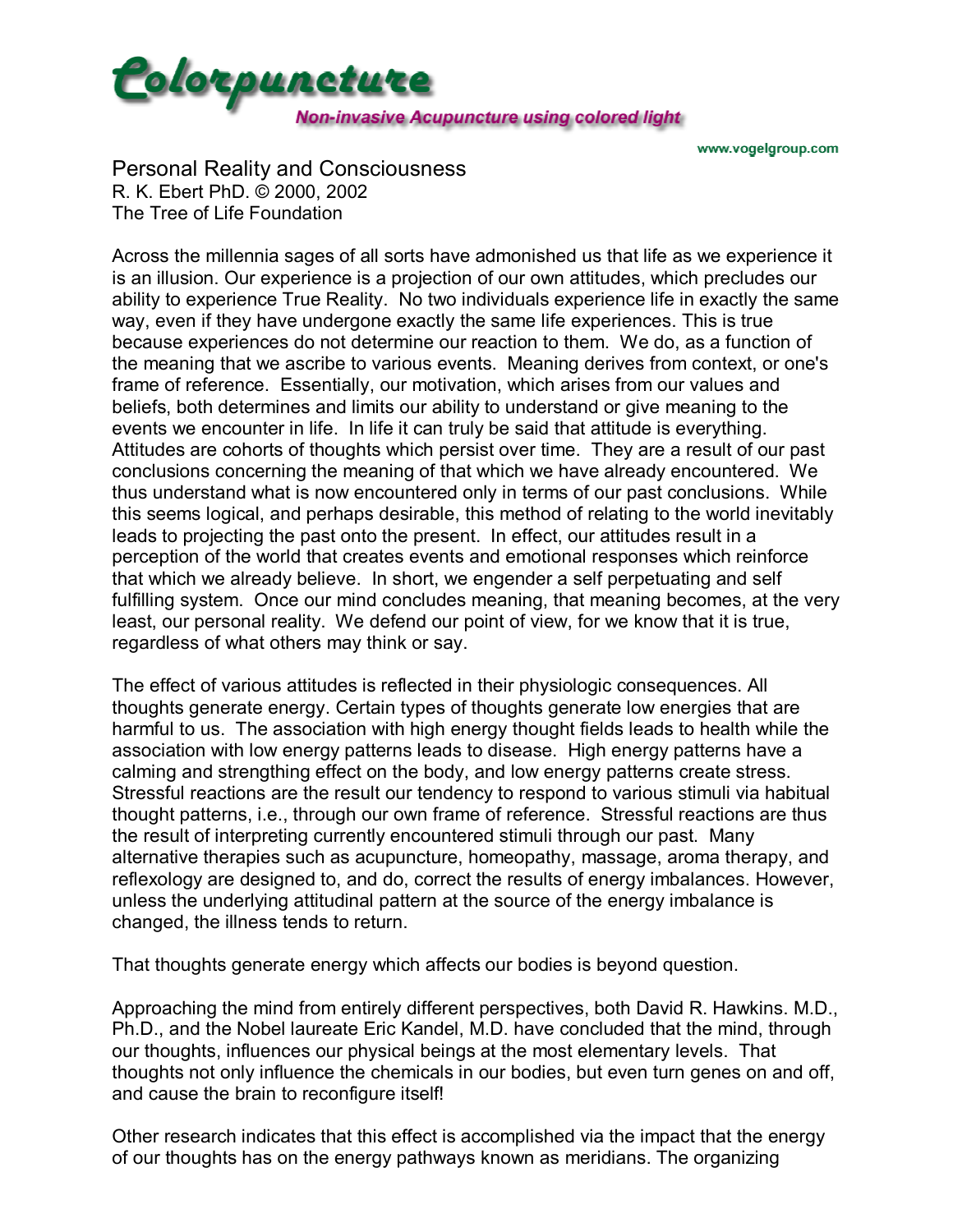

www.vogelgroup.com

Personal Reality and Consciousness R. K. Ebert PhD. © 2000, 2002 The Tree of Life Foundation

Across the millennia sages of all sorts have admonished us that life as we experience it is an illusion. Our experience is a projection of our own attitudes, which precludes our ability to experience True Reality. No two individuals experience life in exactly the same way, even if they have undergone exactly the same life experiences. This is true because experiences do not determine our reaction to them. We do, as a function of the meaning that we ascribe to various events. Meaning derives from context, or one's frame of reference. Essentially, our motivation, which arises from our values and beliefs, both determines and limits our ability to understand or give meaning to the events we encounter in life. In life it can truly be said that attitude is everything. Attitudes are cohorts of thoughts which persist over time. They are a result of our past conclusions concerning the meaning of that which we have already encountered. We thus understand what is now encountered only in terms of our past conclusions. While this seems logical, and perhaps desirable, this method of relating to the world inevitably leads to projecting the past onto the present. In effect, our attitudes result in a perception of the world that creates events and emotional responses which reinforce that which we already believe. In short, we engender a self perpetuating and self fulfilling system. Once our mind concludes meaning, that meaning becomes, at the very least, our personal reality. We defend our point of view, for we know that it is true, regardless of what others may think or say.

The effect of various attitudes is reflected in their physiologic consequences. All thoughts generate energy. Certain types of thoughts generate low energies that are harmful to us. The association with high energy thought fields leads to health while the association with low energy patterns leads to disease. High energy patterns have a calming and strengthing effect on the body, and low energy patterns create stress. Stressful reactions are the result our tendency to respond to various stimuli via habitual thought patterns, i.e., through our own frame of reference. Stressful reactions are thus the result of interpreting currently encountered stimuli through our past. Many alternative therapies such as acupuncture, homeopathy, massage, aroma therapy, and reflexology are designed to, and do, correct the results of energy imbalances. However, unless the underlying attitudinal pattern at the source of the energy imbalance is changed, the illness tends to return.

That thoughts generate energy which affects our bodies is beyond question.

Approaching the mind from entirely different perspectives, both David R. Hawkins. M.D., Ph.D., and the Nobel laureate Eric Kandel, M.D. have concluded that the mind, through our thoughts, influences our physical beings at the most elementary levels. That thoughts not only influence the chemicals in our bodies, but even turn genes on and off, and cause the brain to reconfigure itself!

Other research indicates that this effect is accomplished via the impact that the energy of our thoughts has on the energy pathways known as meridians. The organizing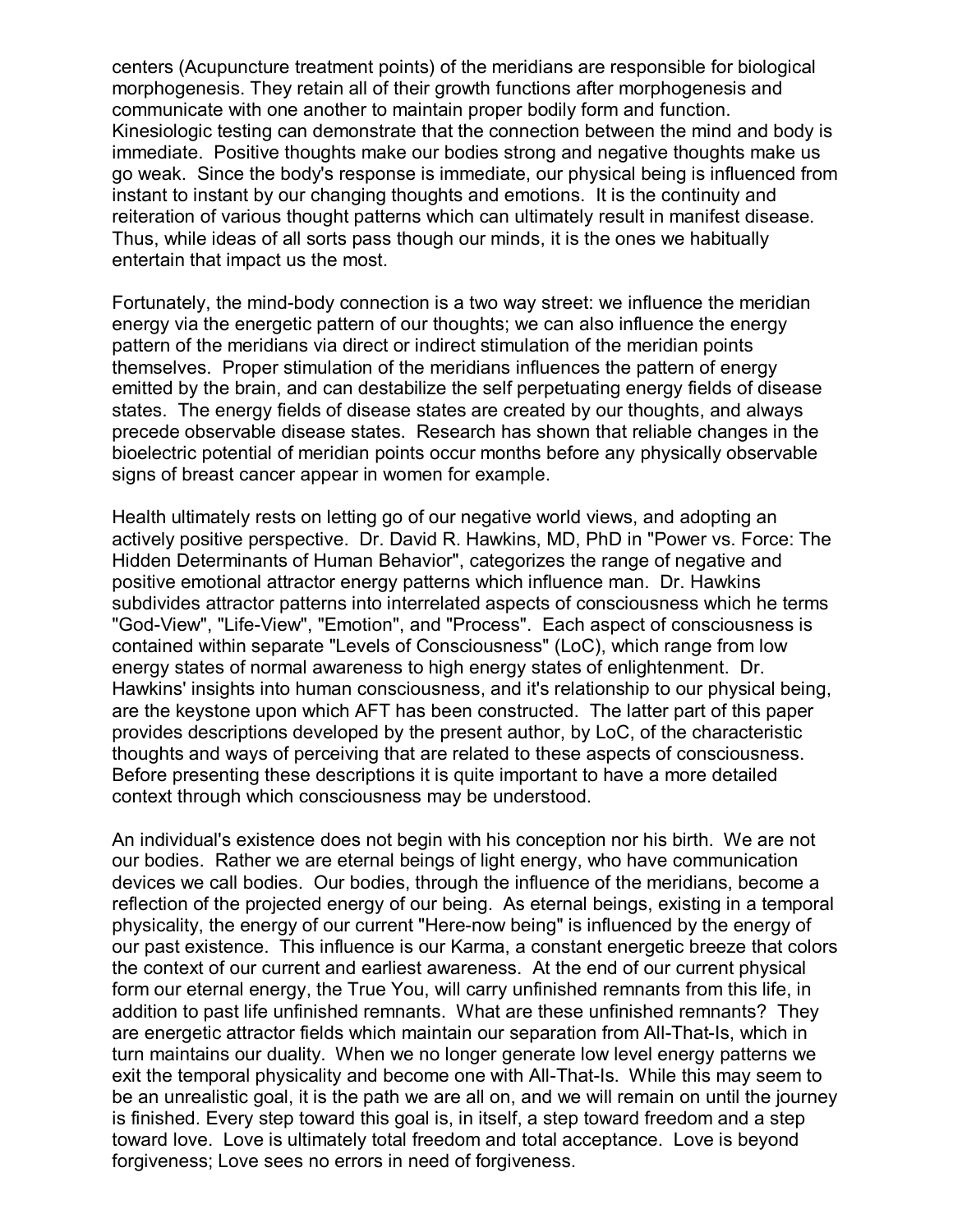centers (Acupuncture treatment points) of the meridians are responsible for biological morphogenesis. They retain all of their growth functions after morphogenesis and communicate with one another to maintain proper bodily form and function. Kinesiologic testing can demonstrate that the connection between the mind and body is immediate. Positive thoughts make our bodies strong and negative thoughts make us go weak. Since the body's response is immediate, our physical being is influenced from instant to instant by our changing thoughts and emotions. It is the continuity and reiteration of various thought patterns which can ultimately result in manifest disease. Thus, while ideas of all sorts pass though our minds, it is the ones we habitually entertain that impact us the most.

Fortunately, the mind-body connection is a two way street: we influence the meridian energy via the energetic pattern of our thoughts; we can also influence the energy pattern of the meridians via direct or indirect stimulation of the meridian points themselves. Proper stimulation of the meridians influences the pattern of energy emitted by the brain, and can destabilize the self perpetuating energy fields of disease states. The energy fields of disease states are created by our thoughts, and always precede observable disease states. Research has shown that reliable changes in the bioelectric potential of meridian points occur months before any physically observable signs of breast cancer appear in women for example.

Health ultimately rests on letting go of our negative world views, and adopting an actively positive perspective. Dr. David R. Hawkins, MD, PhD in "Power vs. Force: The Hidden Determinants of Human Behavior", categorizes the range of negative and positive emotional attractor energy patterns which influence man. Dr. Hawkins subdivides attractor patterns into interrelated aspects of consciousness which he terms "God-View", "Life-View", "Emotion", and "Process". Each aspect of consciousness is contained within separate "Levels of Consciousness" (LoC), which range from low energy states of normal awareness to high energy states of enlightenment. Dr. Hawkins' insights into human consciousness, and it's relationship to our physical being, are the keystone upon which AFT has been constructed. The latter part of this paper provides descriptions developed by the present author, by LoC, of the characteristic thoughts and ways of perceiving that are related to these aspects of consciousness. Before presenting these descriptions it is quite important to have a more detailed context through which consciousness may be understood.

An individual's existence does not begin with his conception nor his birth. We are not our bodies. Rather we are eternal beings of light energy, who have communication devices we call bodies. Our bodies, through the influence of the meridians, become a reflection of the projected energy of our being. As eternal beings, existing in a temporal physicality, the energy of our current "Here-now being" is influenced by the energy of our past existence. This influence is our Karma, a constant energetic breeze that colors the context of our current and earliest awareness. At the end of our current physical form our eternal energy, the True You, will carry unfinished remnants from this life, in addition to past life unfinished remnants. What are these unfinished remnants? They are energetic attractor fields which maintain our separation from All-That-Is, which in turn maintains our duality. When we no longer generate low level energy patterns we exit the temporal physicality and become one with All-That-Is. While this may seem to be an unrealistic goal, it is the path we are all on, and we will remain on until the journey is finished. Every step toward this goal is, in itself, a step toward freedom and a step toward love. Love is ultimately total freedom and total acceptance. Love is beyond forgiveness; Love sees no errors in need of forgiveness.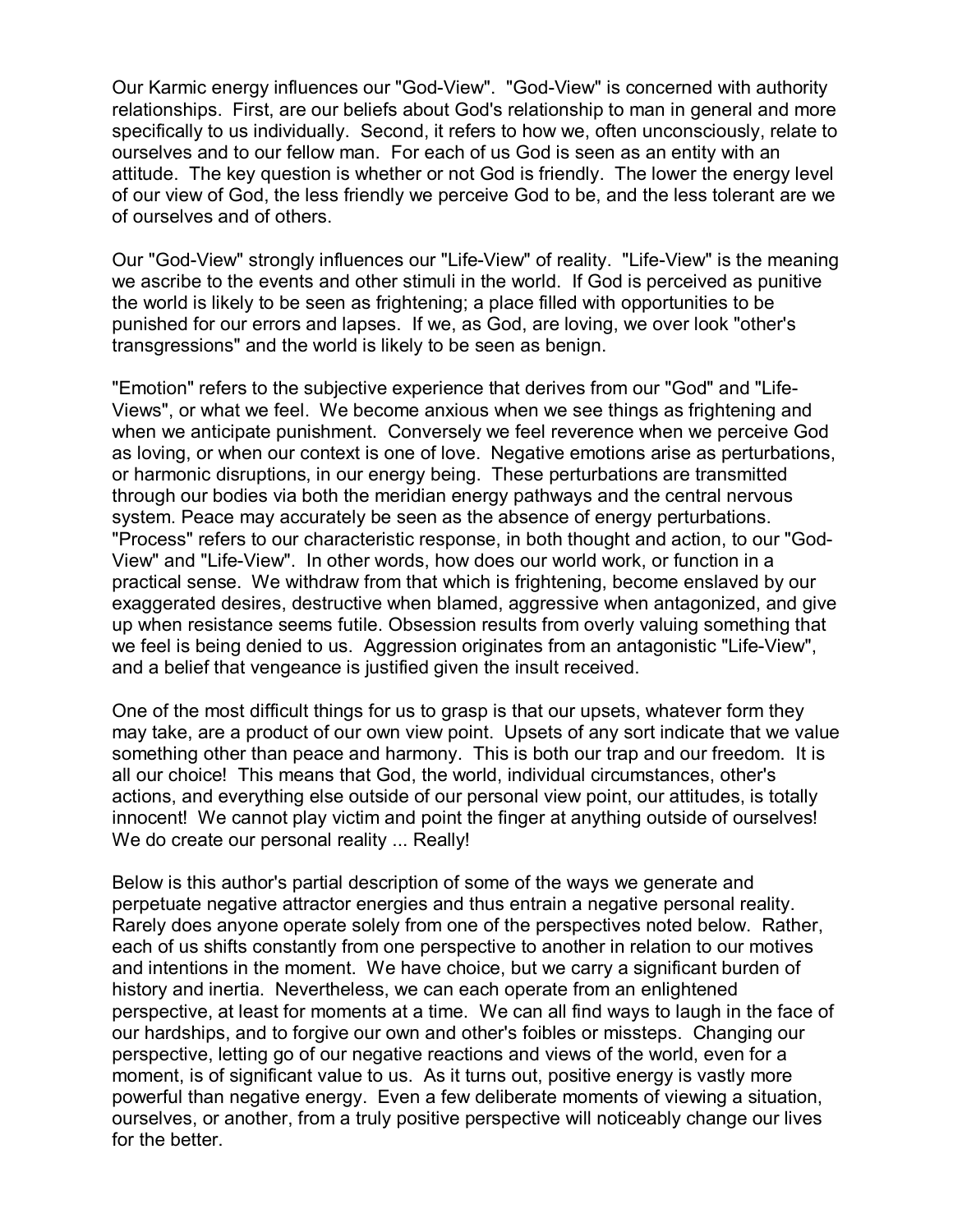Our Karmic energy influences our "God-View". "God-View" is concerned with authority relationships. First, are our beliefs about God's relationship to man in general and more specifically to us individually. Second, it refers to how we, often unconsciously, relate to ourselves and to our fellow man. For each of us God is seen as an entity with an attitude. The key question is whether or not God is friendly. The lower the energy level of our view of God, the less friendly we perceive God to be, and the less tolerant are we of ourselves and of others.

Our "God-View" strongly influences our "Life-View" of reality. "Life-View" is the meaning we ascribe to the events and other stimuli in the world. If God is perceived as punitive the world is likely to be seen as frightening; a place filled with opportunities to be punished for our errors and lapses. If we, as God, are loving, we over look "other's transgressions" and the world is likely to be seen as benign.

"Emotion" refers to the subjective experience that derives from our "God" and "Life-Views", or what we feel. We become anxious when we see things as frightening and when we anticipate punishment. Conversely we feel reverence when we perceive God as loving, or when our context is one of love. Negative emotions arise as perturbations, or harmonic disruptions, in our energy being. These perturbations are transmitted through our bodies via both the meridian energy pathways and the central nervous system. Peace may accurately be seen as the absence of energy perturbations. "Process" refers to our characteristic response, in both thought and action, to our "God-View" and "Life-View". In other words, how does our world work, or function in a practical sense. We withdraw from that which is frightening, become enslaved by our exaggerated desires, destructive when blamed, aggressive when antagonized, and give up when resistance seems futile. Obsession results from overly valuing something that we feel is being denied to us. Aggression originates from an antagonistic "Life-View", and a belief that vengeance is justified given the insult received.

One of the most difficult things for us to grasp is that our upsets, whatever form they may take, are a product of our own view point. Upsets of any sort indicate that we value something other than peace and harmony. This is both our trap and our freedom. It is all our choice! This means that God, the world, individual circumstances, other's actions, and everything else outside of our personal view point, our attitudes, is totally innocent! We cannot play victim and point the finger at anything outside of ourselves! We do create our personal reality ... Really!

Below is this author's partial description of some of the ways we generate and perpetuate negative attractor energies and thus entrain a negative personal reality. Rarely does anyone operate solely from one of the perspectives noted below. Rather, each of us shifts constantly from one perspective to another in relation to our motives and intentions in the moment. We have choice, but we carry a significant burden of history and inertia. Nevertheless, we can each operate from an enlightened perspective, at least for moments at a time. We can all find ways to laugh in the face of our hardships, and to forgive our own and other's foibles or missteps. Changing our perspective, letting go of our negative reactions and views of the world, even for a moment, is of significant value to us. As it turns out, positive energy is vastly more powerful than negative energy. Even a few deliberate moments of viewing a situation, ourselves, or another, from a truly positive perspective will noticeably change our lives for the better.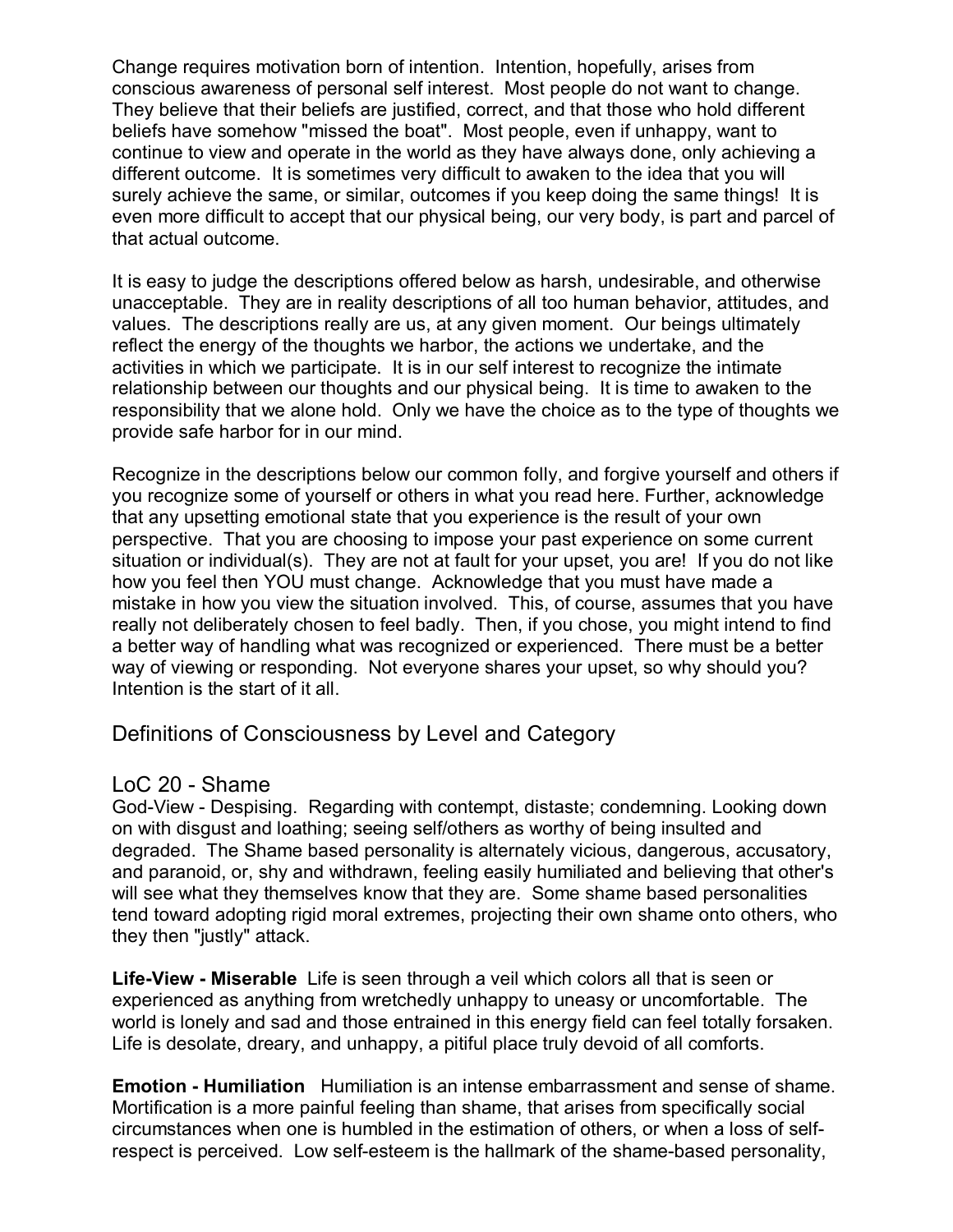Change requires motivation born of intention. Intention, hopefully, arises from conscious awareness of personal self interest. Most people do not want to change. They believe that their beliefs are justified, correct, and that those who hold different beliefs have somehow "missed the boat". Most people, even if unhappy, want to continue to view and operate in the world as they have always done, only achieving a different outcome. It is sometimes very difficult to awaken to the idea that you will surely achieve the same, or similar, outcomes if you keep doing the same things! It is even more difficult to accept that our physical being, our very body, is part and parcel of that actual outcome.

It is easy to judge the descriptions offered below as harsh, undesirable, and otherwise unacceptable. They are in reality descriptions of all too human behavior, attitudes, and values. The descriptions really are us, at any given moment. Our beings ultimately reflect the energy of the thoughts we harbor, the actions we undertake, and the activities in which we participate. It is in our self interest to recognize the intimate relationship between our thoughts and our physical being. It is time to awaken to the responsibility that we alone hold. Only we have the choice as to the type of thoughts we provide safe harbor for in our mind.

Recognize in the descriptions below our common folly, and forgive yourself and others if you recognize some of yourself or others in what you read here. Further, acknowledge that any upsetting emotional state that you experience is the result of your own perspective. That you are choosing to impose your past experience on some current situation or individual(s). They are not at fault for your upset, you are! If you do not like how you feel then YOU must change. Acknowledge that you must have made a mistake in how you view the situation involved. This, of course, assumes that you have really not deliberately chosen to feel badly. Then, if you chose, you might intend to find a better way of handling what was recognized or experienced. There must be a better way of viewing or responding. Not everyone shares your upset, so why should you? Intention is the start of it all.

Definitions of Consciousness by Level and Category

#### LoC 20 - Shame

God-View - Despising. Regarding with contempt, distaste; condemning. Looking down on with disgust and loathing; seeing self/others as worthy of being insulted and degraded. The Shame based personality is alternately vicious, dangerous, accusatory, and paranoid, or, shy and withdrawn, feeling easily humiliated and believing that other's will see what they themselves know that they are. Some shame based personalities tend toward adopting rigid moral extremes, projecting their own shame onto others, who they then "justly" attack.

**Life-View - Miserable** Life is seen through a veil which colors all that is seen or experienced as anything from wretchedly unhappy to uneasy or uncomfortable. The world is lonely and sad and those entrained in this energy field can feel totally forsaken. Life is desolate, dreary, and unhappy, a pitiful place truly devoid of all comforts.

**Emotion - Humiliation** Humiliation is an intense embarrassment and sense of shame. Mortification is a more painful feeling than shame, that arises from specifically social circumstances when one is humbled in the estimation of others, or when a loss of selfrespect is perceived. Low self-esteem is the hallmark of the shame-based personality,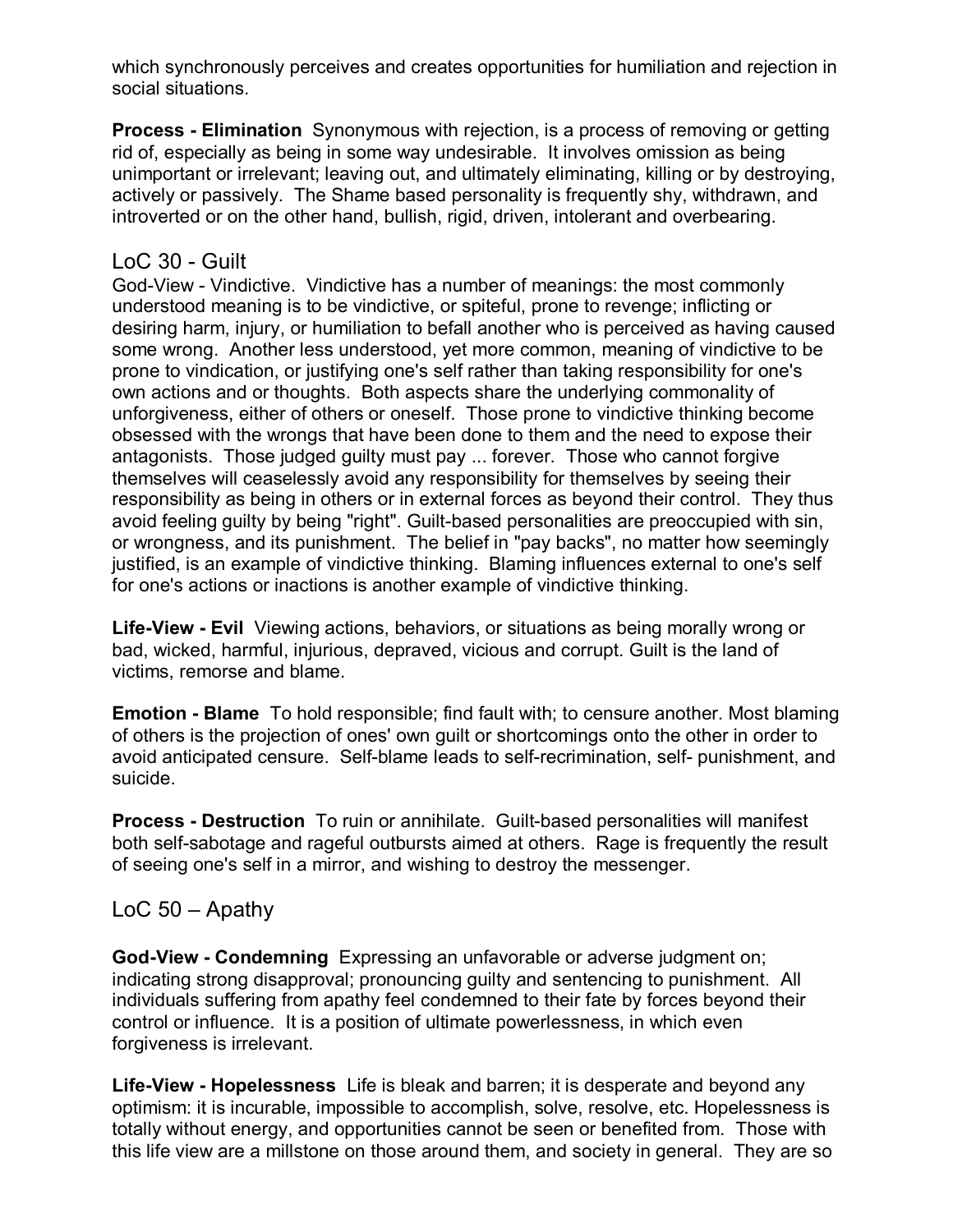which synchronously perceives and creates opportunities for humiliation and rejection in social situations.

**Process - Elimination** Synonymous with rejection, is a process of removing or getting rid of, especially as being in some way undesirable. It involves omission as being unimportant or irrelevant; leaving out, and ultimately eliminating, killing or by destroying, actively or passively. The Shame based personality is frequently shy, withdrawn, and introverted or on the other hand, bullish, rigid, driven, intolerant and overbearing.

### LoC 30 - Guilt

God-View - Vindictive. Vindictive has a number of meanings: the most commonly understood meaning is to be vindictive, or spiteful, prone to revenge; inflicting or desiring harm, injury, or humiliation to befall another who is perceived as having caused some wrong. Another less understood, yet more common, meaning of vindictive to be prone to vindication, or justifying one's self rather than taking responsibility for one's own actions and or thoughts. Both aspects share the underlying commonality of unforgiveness, either of others or oneself. Those prone to vindictive thinking become obsessed with the wrongs that have been done to them and the need to expose their antagonists. Those judged guilty must pay ... forever. Those who cannot forgive themselves will ceaselessly avoid any responsibility for themselves by seeing their responsibility as being in others or in external forces as beyond their control. They thus avoid feeling guilty by being "right". Guilt-based personalities are preoccupied with sin, or wrongness, and its punishment. The belief in "pay backs", no matter how seemingly justified, is an example of vindictive thinking. Blaming influences external to one's self for one's actions or inactions is another example of vindictive thinking.

**Life-View - Evil** Viewing actions, behaviors, or situations as being morally wrong or bad, wicked, harmful, injurious, depraved, vicious and corrupt. Guilt is the land of victims, remorse and blame.

**Emotion - Blame** To hold responsible; find fault with; to censure another. Most blaming of others is the projection of ones' own guilt or shortcomings onto the other in order to avoid anticipated censure. Self-blame leads to self-recrimination, self- punishment, and suicide.

**Process - Destruction** To ruin or annihilate. Guilt-based personalities will manifest both self-sabotage and rageful outbursts aimed at others. Rage is frequently the result of seeing one's self in a mirror, and wishing to destroy the messenger.

# $Loc 50 -$  Apathy

**God-View - Condemning** Expressing an unfavorable or adverse judgment on; indicating strong disapproval; pronouncing guilty and sentencing to punishment. All individuals suffering from apathy feel condemned to their fate by forces beyond their control or influence. It is a position of ultimate powerlessness, in which even forgiveness is irrelevant.

**Life-View - Hopelessness** Life is bleak and barren; it is desperate and beyond any optimism: it is incurable, impossible to accomplish, solve, resolve, etc. Hopelessness is totally without energy, and opportunities cannot be seen or benefited from. Those with this life view are a millstone on those around them, and society in general. They are so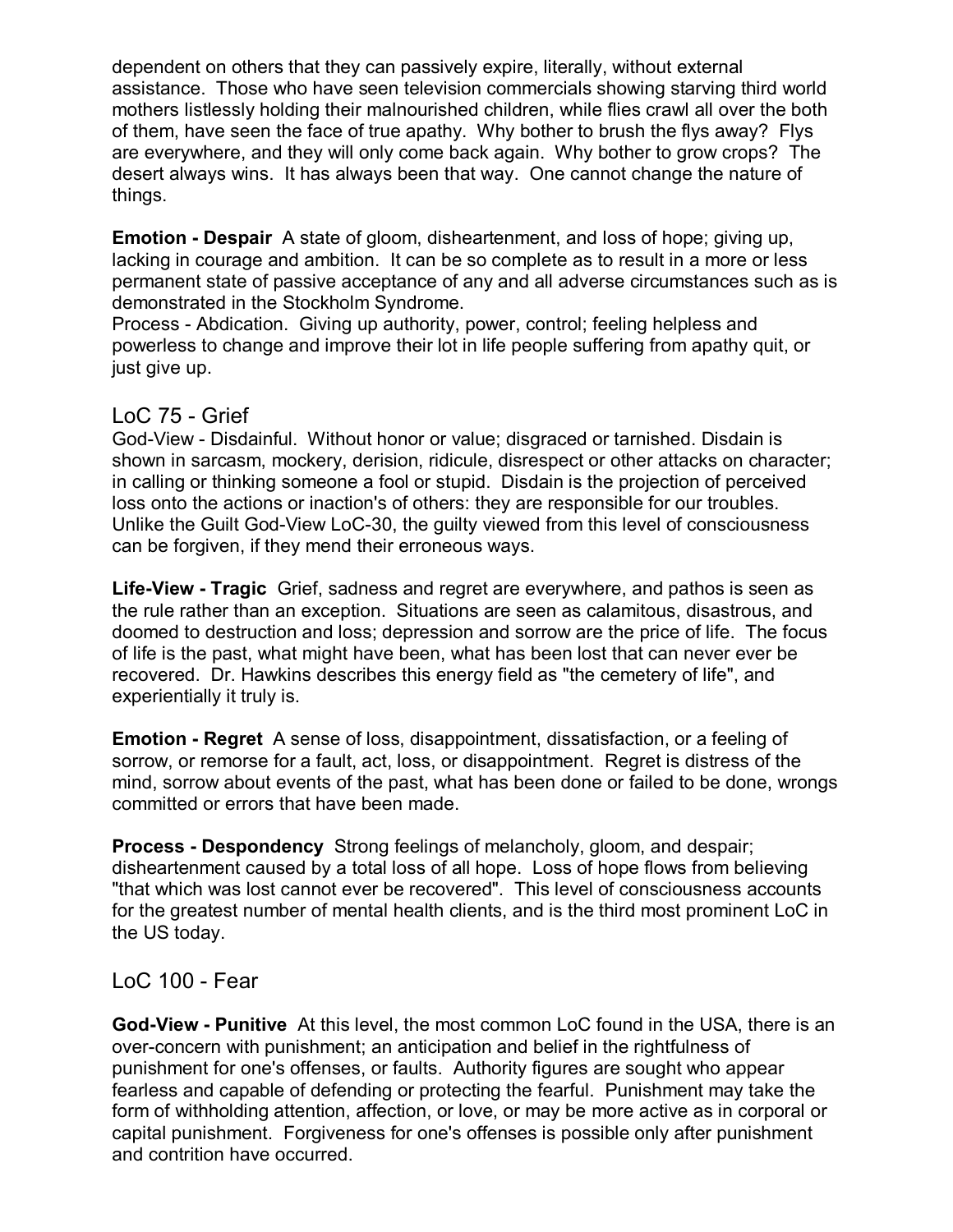dependent on others that they can passively expire, literally, without external assistance. Those who have seen television commercials showing starving third world mothers listlessly holding their malnourished children, while flies crawl all over the both of them, have seen the face of true apathy. Why bother to brush the flys away? Flys are everywhere, and they will only come back again. Why bother to grow crops? The desert always wins. It has always been that way. One cannot change the nature of things.

**Emotion - Despair** A state of gloom, disheartenment, and loss of hope; giving up, lacking in courage and ambition. It can be so complete as to result in a more or less permanent state of passive acceptance of any and all adverse circumstances such as is demonstrated in the Stockholm Syndrome.

Process - Abdication. Giving up authority, power, control; feeling helpless and powerless to change and improve their lot in life people suffering from apathy quit, or just give up.

#### LoC 75 - Grief

God-View - Disdainful. Without honor or value; disgraced or tarnished. Disdain is shown in sarcasm, mockery, derision, ridicule, disrespect or other attacks on character; in calling or thinking someone a fool or stupid. Disdain is the projection of perceived loss onto the actions or inaction's of others: they are responsible for our troubles. Unlike the Guilt God-View LoC-30, the guilty viewed from this level of consciousness can be forgiven, if they mend their erroneous ways.

**Life-View - Tragic** Grief, sadness and regret are everywhere, and pathos is seen as the rule rather than an exception. Situations are seen as calamitous, disastrous, and doomed to destruction and loss; depression and sorrow are the price of life. The focus of life is the past, what might have been, what has been lost that can never ever be recovered. Dr. Hawkins describes this energy field as "the cemetery of life", and experientially it truly is.

**Emotion - Regret** A sense of loss, disappointment, dissatisfaction, or a feeling of sorrow, or remorse for a fault, act, loss, or disappointment. Regret is distress of the mind, sorrow about events of the past, what has been done or failed to be done, wrongs committed or errors that have been made.

**Process - Despondency** Strong feelings of melancholy, gloom, and despair; disheartenment caused by a total loss of all hope. Loss of hope flows from believing "that which was lost cannot ever be recovered". This level of consciousness accounts for the greatest number of mental health clients, and is the third most prominent LoC in the US today.

#### LoC 100 - Fear

**God-View - Punitive** At this level, the most common LoC found in the USA, there is an over-concern with punishment; an anticipation and belief in the rightfulness of punishment for one's offenses, or faults. Authority figures are sought who appear fearless and capable of defending or protecting the fearful. Punishment may take the form of withholding attention, affection, or love, or may be more active as in corporal or capital punishment. Forgiveness for one's offenses is possible only after punishment and contrition have occurred.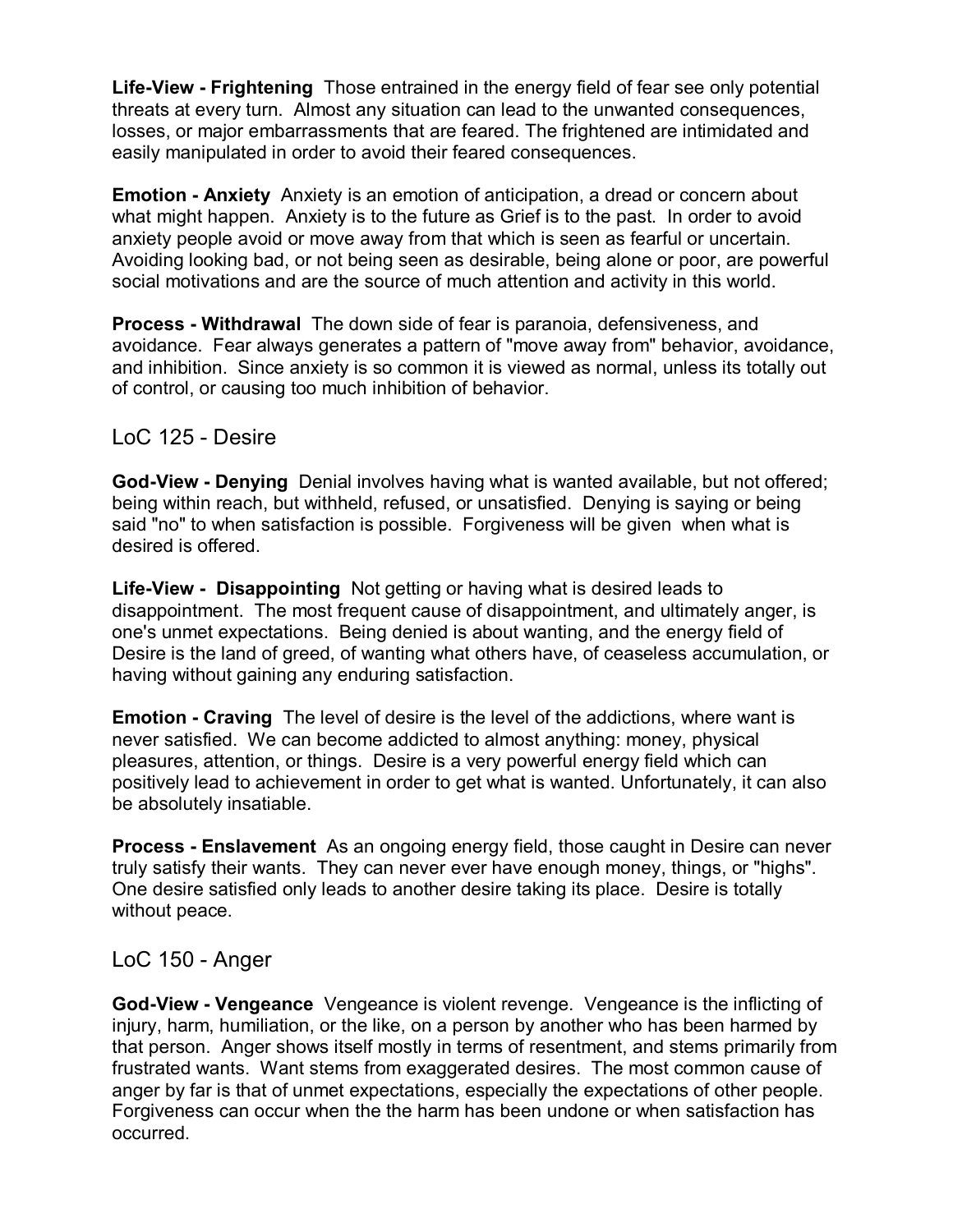**Life-View - Frightening** Those entrained in the energy field of fear see only potential threats at every turn. Almost any situation can lead to the unwanted consequences, losses, or major embarrassments that are feared. The frightened are intimidated and easily manipulated in order to avoid their feared consequences.

**Emotion - Anxiety** Anxiety is an emotion of anticipation, a dread or concern about what might happen. Anxiety is to the future as Grief is to the past. In order to avoid anxiety people avoid or move away from that which is seen as fearful or uncertain. Avoiding looking bad, or not being seen as desirable, being alone or poor, are powerful social motivations and are the source of much attention and activity in this world.

**Process - Withdrawal** The down side of fear is paranoia, defensiveness, and avoidance. Fear always generates a pattern of "move away from" behavior, avoidance, and inhibition. Since anxiety is so common it is viewed as normal, unless its totally out of control, or causing too much inhibition of behavior.

#### LoC 125 - Desire

**God-View - Denying** Denial involves having what is wanted available, but not offered; being within reach, but withheld, refused, or unsatisfied. Denying is saying or being said "no" to when satisfaction is possible. Forgiveness will be given when what is desired is offered.

**Life-View - Disappointing** Not getting or having what is desired leads to disappointment. The most frequent cause of disappointment, and ultimately anger, is one's unmet expectations. Being denied is about wanting, and the energy field of Desire is the land of greed, of wanting what others have, of ceaseless accumulation, or having without gaining any enduring satisfaction.

**Emotion - Craving** The level of desire is the level of the addictions, where want is never satisfied. We can become addicted to almost anything: money, physical pleasures, attention, or things. Desire is a very powerful energy field which can positively lead to achievement in order to get what is wanted. Unfortunately, it can also be absolutely insatiable.

**Process - Enslavement** As an ongoing energy field, those caught in Desire can never truly satisfy their wants. They can never ever have enough money, things, or "highs". One desire satisfied only leads to another desire taking its place. Desire is totally without peace.

# LoC 150 - Anger

**God-View - Vengeance** Vengeance is violent revenge. Vengeance is the inflicting of injury, harm, humiliation, or the like, on a person by another who has been harmed by that person. Anger shows itself mostly in terms of resentment, and stems primarily from frustrated wants. Want stems from exaggerated desires. The most common cause of anger by far is that of unmet expectations, especially the expectations of other people. Forgiveness can occur when the the harm has been undone or when satisfaction has occurred.